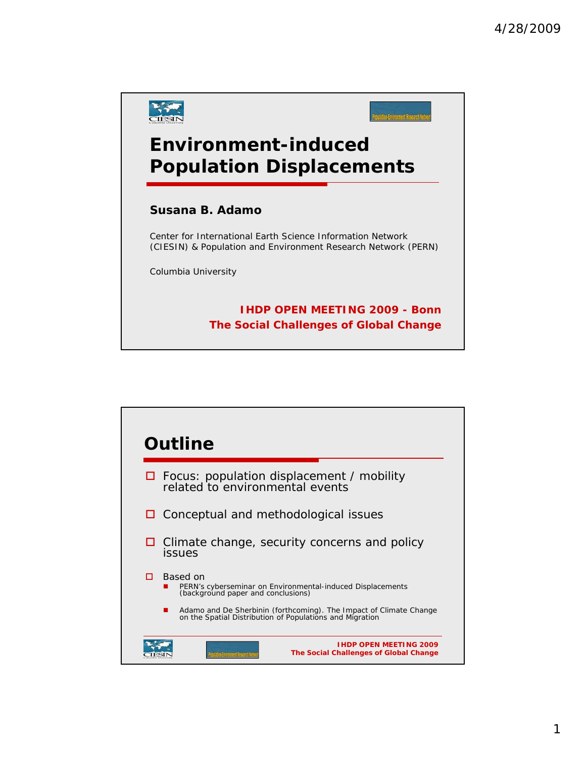

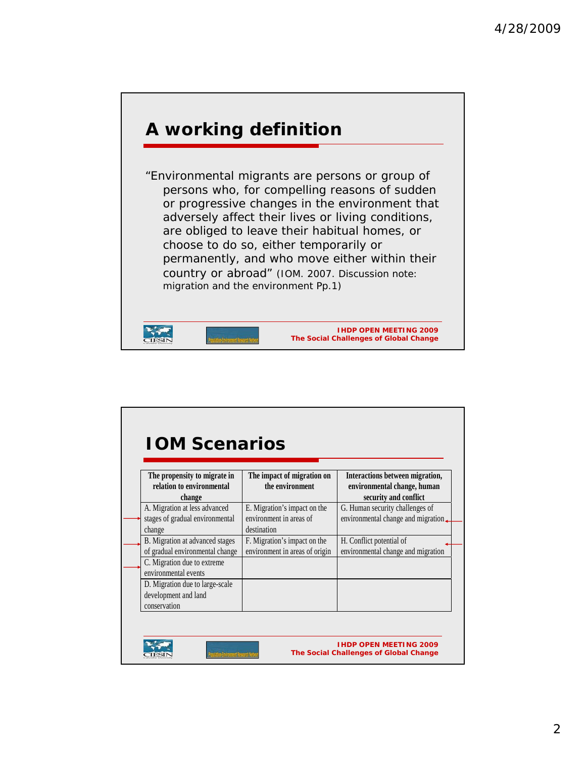

| The propensity to migrate in<br>relation to environmental<br>change        | The impact of migration on<br>the environment                          | Interactions between migration,<br>environmental change, human<br>security and conflict |
|----------------------------------------------------------------------------|------------------------------------------------------------------------|-----------------------------------------------------------------------------------------|
| A. Migration at less advanced<br>stages of gradual environmental<br>change | E. Migration's impact on the<br>environment in areas of<br>destination | G. Human security challenges of<br>environmental change and migration.                  |
| B. Migration at advanced stages<br>of gradual environmental change         | F. Migration's impact on the<br>environment in areas of origin         | H. Conflict potential of<br>environmental change and migration                          |
| C. Migration due to extreme<br>environmental events                        |                                                                        |                                                                                         |
| D. Migration due to large-scale<br>development and land<br>conservation    |                                                                        |                                                                                         |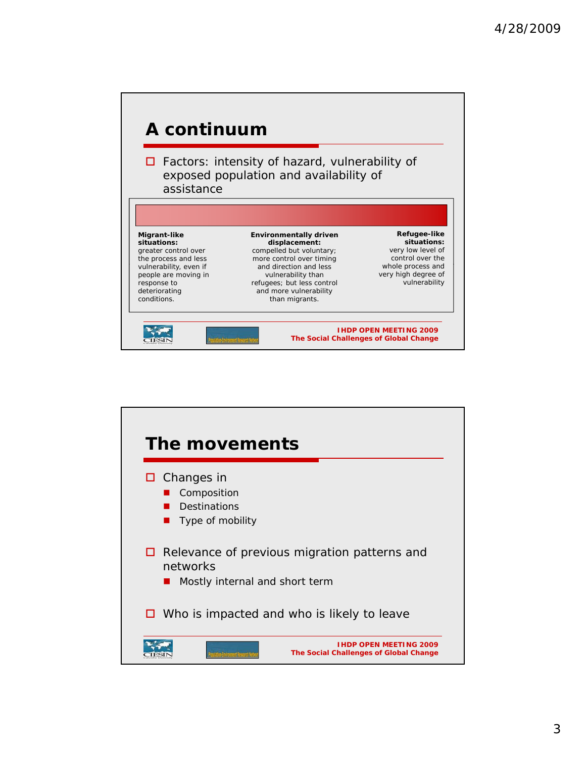

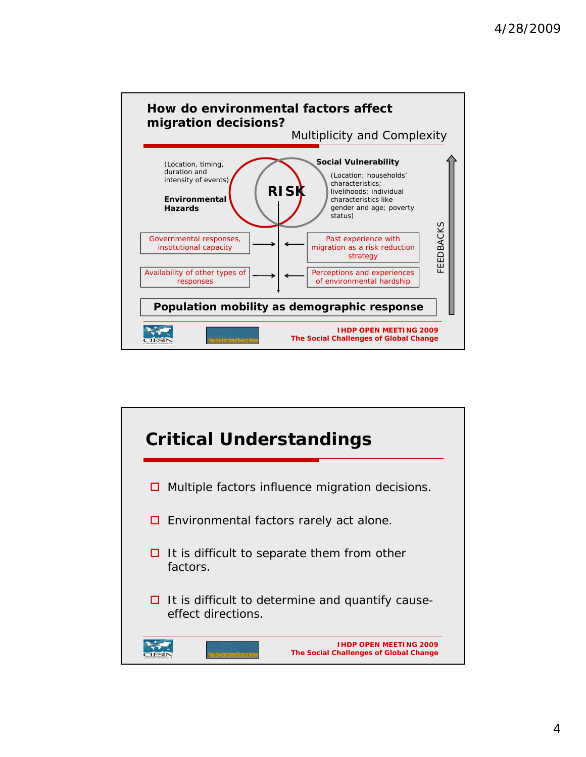

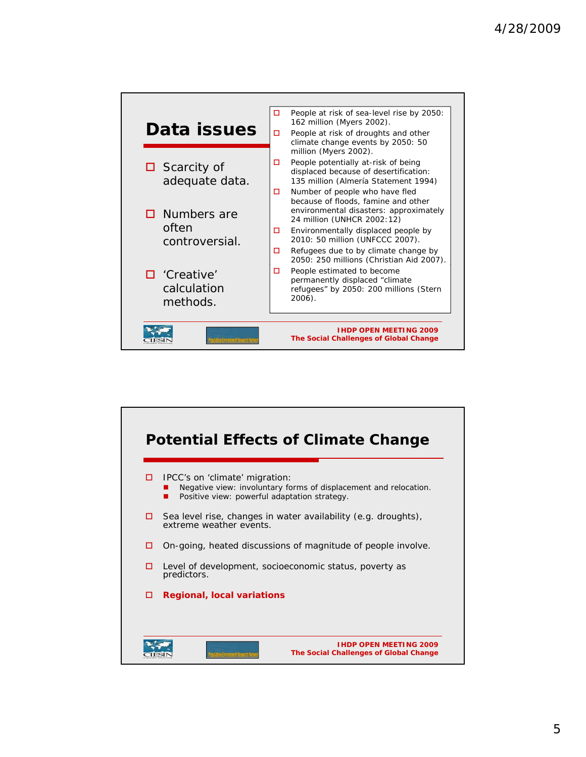

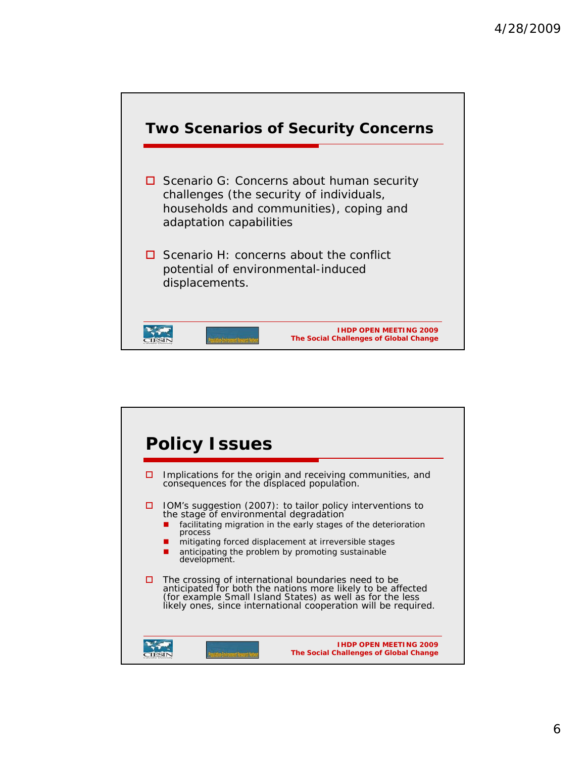